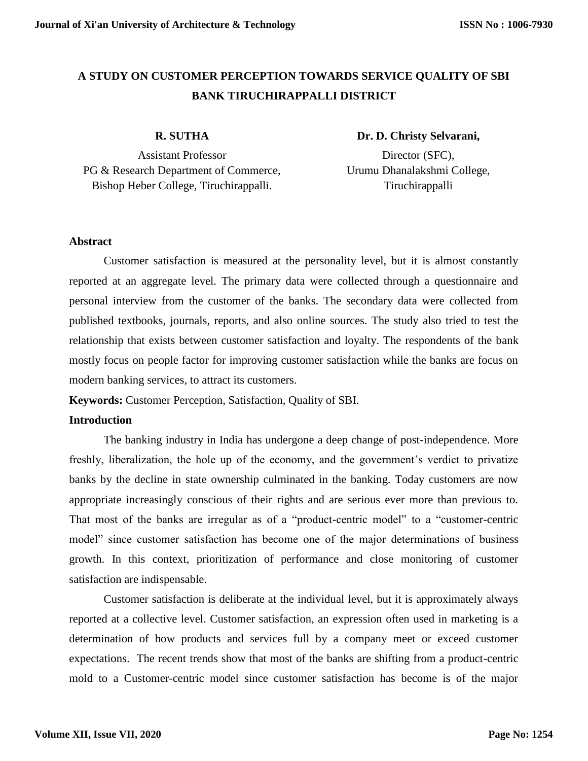# **A STUDY ON CUSTOMER PERCEPTION TOWARDS SERVICE QUALITY OF SBI BANK TIRUCHIRAPPALLI DISTRICT**

#### **R. SUTHA**

Assistant Professor PG & Research Department of Commerce, Bishop Heber College, Tiruchirappalli.

### **Dr. D. Christy Selvarani,**

Director (SFC), Urumu Dhanalakshmi College, Tiruchirappalli

#### **Abstract**

Customer satisfaction is measured at the personality level, but it is almost constantly reported at an aggregate level. The primary data were collected through a questionnaire and personal interview from the customer of the banks. The secondary data were collected from published textbooks, journals, reports, and also online sources. The study also tried to test the relationship that exists between customer satisfaction and loyalty. The respondents of the bank mostly focus on people factor for improving customer satisfaction while the banks are focus on modern banking services, to attract its customers.

**Keywords:** Customer Perception, Satisfaction, Quality of SBI.

### **Introduction**

The banking industry in India has undergone a deep change of post-independence. More freshly, liberalization, the hole up of the economy, and the government's verdict to privatize banks by the decline in state ownership culminated in the banking. Today customers are now appropriate increasingly conscious of their rights and are serious ever more than previous to. That most of the banks are irregular as of a "product-centric model" to a "customer-centric model" since customer satisfaction has become one of the major determinations of business growth. In this context, prioritization of performance and close monitoring of customer satisfaction are indispensable.

Customer satisfaction is deliberate at the individual level, but it is approximately always reported at a collective level. Customer satisfaction, an expression often used in marketing is a determination of how products and services full by a company meet or exceed customer expectations. The recent trends show that most of the banks are shifting from a product-centric mold to a Customer-centric model since customer satisfaction has become is of the major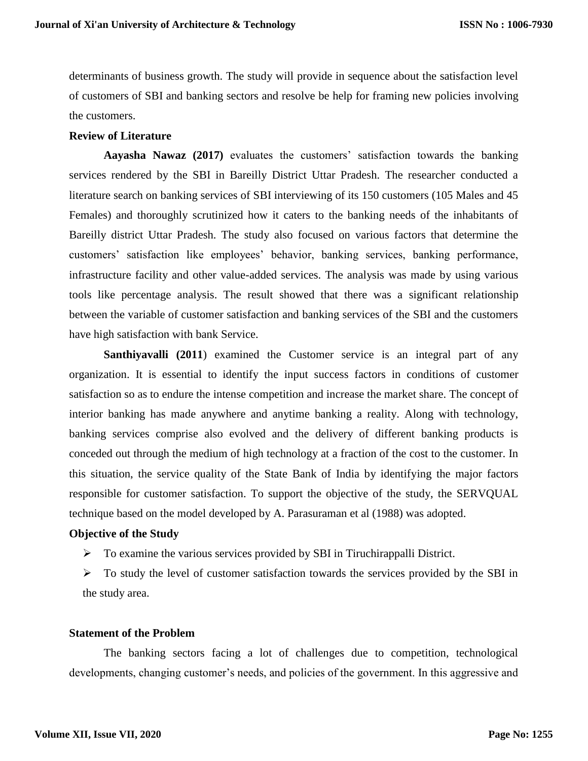determinants of business growth. The study will provide in sequence about the satisfaction level of customers of SBI and banking sectors and resolve be help for framing new policies involving the customers.

#### **Review of Literature**

**Aayasha Nawaz (2017)** evaluates the customers' satisfaction towards the banking services rendered by the SBI in Bareilly District Uttar Pradesh. The researcher conducted a literature search on banking services of SBI interviewing of its 150 customers (105 Males and 45 Females) and thoroughly scrutinized how it caters to the banking needs of the inhabitants of Bareilly district Uttar Pradesh. The study also focused on various factors that determine the customers' satisfaction like employees' behavior, banking services, banking performance, infrastructure facility and other value-added services. The analysis was made by using various tools like percentage analysis. The result showed that there was a significant relationship between the variable of customer satisfaction and banking services of the SBI and the customers have high satisfaction with bank Service.

**Santhiyavalli (2011)** examined the Customer service is an integral part of any organization. It is essential to identify the input success factors in conditions of customer satisfaction so as to endure the intense competition and increase the market share. The concept of interior banking has made anywhere and anytime banking a reality. Along with technology, banking services comprise also evolved and the delivery of different banking products is conceded out through the medium of high technology at a fraction of the cost to the customer. In this situation, the service quality of the State Bank of India by identifying the major factors responsible for customer satisfaction. To support the objective of the study, the SERVQUAL technique based on the model developed by A. Parasuraman et al (1988) was adopted.

### **Objective of the Study**

- $\triangleright$  To examine the various services provided by SBI in Tiruchirappalli District.
- $\triangleright$  To study the level of customer satisfaction towards the services provided by the SBI in the study area.

#### **Statement of the Problem**

The banking sectors facing a lot of challenges due to competition, technological developments, changing customer's needs, and policies of the government. In this aggressive and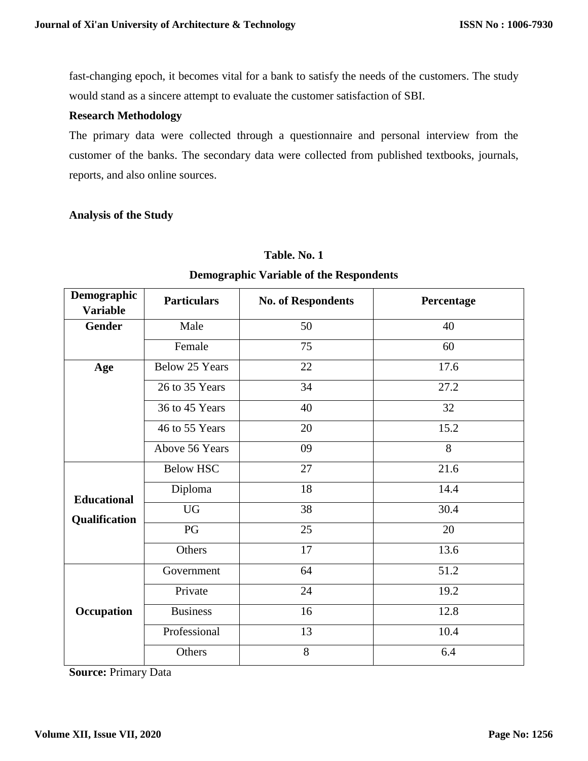fast-changing epoch, it becomes vital for a bank to satisfy the needs of the customers. The study would stand as a sincere attempt to evaluate the customer satisfaction of SBI.

#### **Research Methodology**

The primary data were collected through a questionnaire and personal interview from the customer of the banks. The secondary data were collected from published textbooks, journals, reports, and also online sources.

#### **Analysis of the Study**

| Demographic<br><b>Variable</b>      | <b>Particulars</b>    | <b>No. of Respondents</b> | Percentage |  |
|-------------------------------------|-----------------------|---------------------------|------------|--|
| <b>Gender</b>                       | Male                  | 50                        | 40         |  |
|                                     | Female                | 75                        | 60         |  |
| Age                                 | <b>Below 25 Years</b> | 22                        | 17.6       |  |
|                                     | 26 to 35 Years        | 34                        | 27.2       |  |
|                                     | 36 to 45 Years        | 40                        | 32         |  |
|                                     | 46 to 55 Years        | 20                        | 15.2       |  |
|                                     | Above 56 Years        | 09                        | 8          |  |
| <b>Educational</b><br>Qualification | <b>Below HSC</b>      | 27                        | 21.6       |  |
|                                     | Diploma               | 18                        | 14.4       |  |
|                                     | <b>UG</b>             | 38                        | 30.4       |  |
|                                     | PG                    | 25                        | 20         |  |
|                                     | Others                | 17                        | 13.6       |  |
| Occupation                          | Government            | 64                        | 51.2       |  |
|                                     | Private               | 24                        | 19.2       |  |
|                                     | <b>Business</b>       | 16                        | 12.8       |  |
|                                     | Professional          | 10.4<br>13                |            |  |
|                                     | Others                | 8                         | 6.4        |  |

## **Table. No. 1**

## **Demographic Variable of the Respondents**

**Source:** Primary Data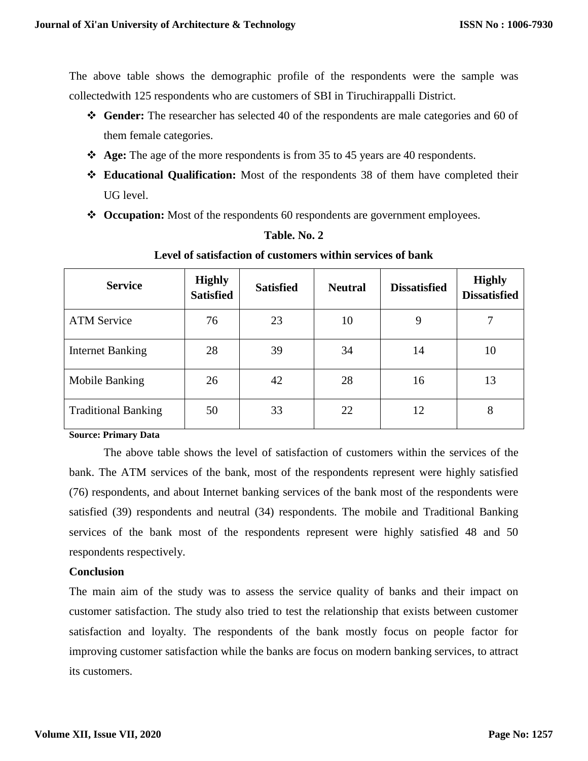The above table shows the demographic profile of the respondents were the sample was collectedwith 125 respondents who are customers of SBI in Tiruchirappalli District.

- **Gender:** The researcher has selected 40 of the respondents are male categories and 60 of them female categories.
- **Age:** The age of the more respondents is from 35 to 45 years are 40 respondents.
- **Educational Qualification:** Most of the respondents 38 of them have completed their UG level.
- **Occupation:** Most of the respondents 60 respondents are government employees.

| <b>Service</b>             | <b>Highly</b><br><b>Satisfied</b> | <b>Satisfied</b> | <b>Neutral</b> | <b>Dissatisfied</b> | <b>Highly</b><br><b>Dissatisfied</b> |
|----------------------------|-----------------------------------|------------------|----------------|---------------------|--------------------------------------|
| <b>ATM Service</b>         | 76                                | 23               | 10             | 9                   | 7                                    |
| <b>Internet Banking</b>    | 28                                | 39               | 34             | 14                  | 10                                   |
| Mobile Banking             | 26                                | 42               | 28             | 16                  | 13                                   |
| <b>Traditional Banking</b> | 50                                | 33               | 22             | 12                  | 8                                    |

## **Table. No. 2**

### **Level of satisfaction of customers within services of bank**

#### **Source: Primary Data**

The above table shows the level of satisfaction of customers within the services of the bank. The ATM services of the bank, most of the respondents represent were highly satisfied (76) respondents, and about Internet banking services of the bank most of the respondents were satisfied (39) respondents and neutral (34) respondents. The mobile and Traditional Banking services of the bank most of the respondents represent were highly satisfied 48 and 50 respondents respectively.

#### **Conclusion**

The main aim of the study was to assess the service quality of banks and their impact on customer satisfaction. The study also tried to test the relationship that exists between customer satisfaction and loyalty. The respondents of the bank mostly focus on people factor for improving customer satisfaction while the banks are focus on modern banking services, to attract its customers.